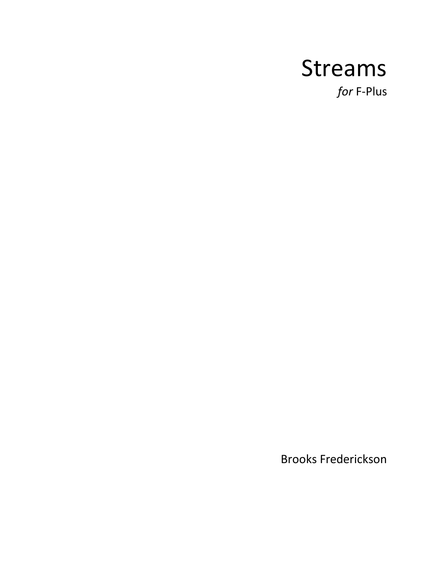## Streams

*for* F-Plus

Brooks Frederickson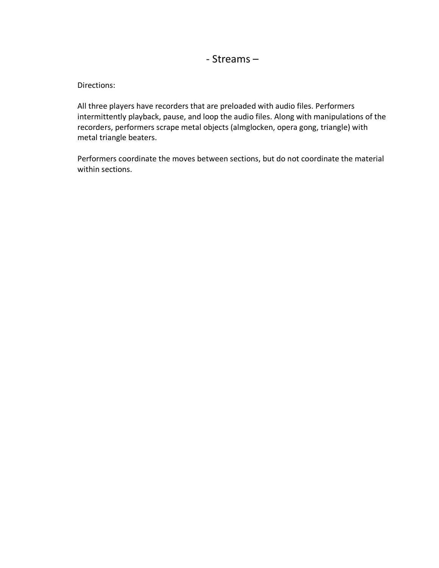## - Streams –

Directions:

All three players have recorders that are preloaded with audio files. Performers intermittently playback, pause, and loop the audio files. Along with manipulations of the recorders, performers scrape metal objects (almglocken, opera gong, triangle) with metal triangle beaters.

Performers coordinate the moves between sections, but do not coordinate the material within sections.